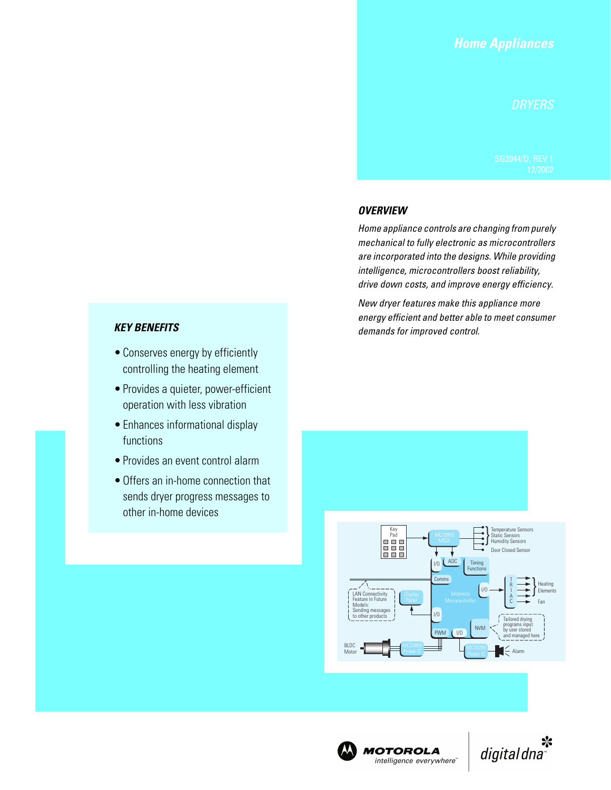# *Home Appliances*

## *OVERVIEW*

*Home appliance controls are changing from purely mechanical to fully electronic as microcontrollers are incorporated into the designs. While providing intelligence, microcontrollers boost reliability, drive down costs, and improve energy efficiency.*

*New dryer features make this appliance more energy efficient and better able to meet consumer demands for improved control.*

## *KEY BENEFITS*

- Conserves energy by efficiently controlling the heating element
- Provides a quieter, power-efficient operation with less vibration
- Enhances informational display functions
- Provides an event control alarm
- Offers an in-home connection that sends dryer progress messages to other in-home devices





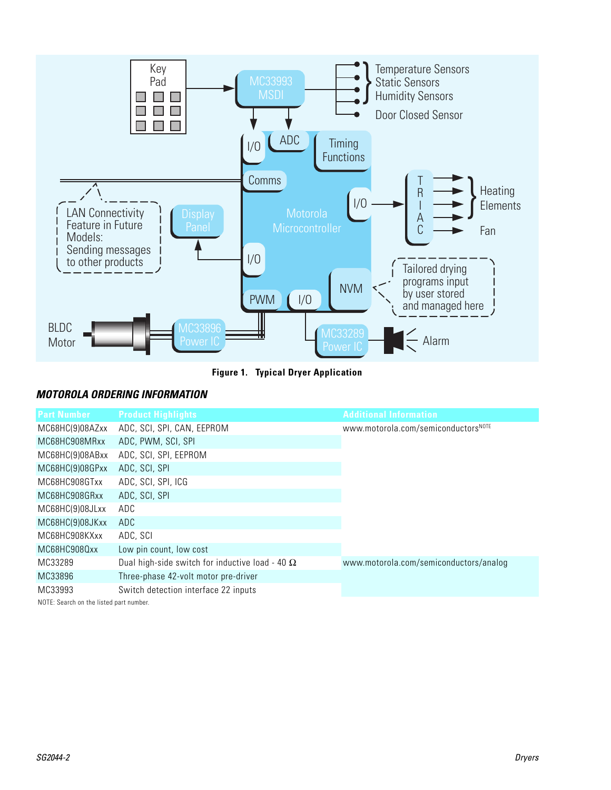

**Figure 1. Typical Dryer Application**

## *MOTOROLA ORDERING INFORMATION*

| <b>Part Number</b>                     | <b>Product Highlights</b>                              | <b>Additional Information</b>          |  |  |
|----------------------------------------|--------------------------------------------------------|----------------------------------------|--|--|
| MC68HC(9)08AZxx                        | ADC, SCI, SPI, CAN, EEPROM                             | WWW.motorola.com/semiconductorsNOTE    |  |  |
| MC68HC908MRxx                          | ADC, PWM, SCI, SPI                                     |                                        |  |  |
| MC68HC(9)08ABxx                        | ADC, SCI, SPI, EEPROM                                  |                                        |  |  |
| MC68HC(9)08GPxx                        | ADC, SCI, SPI                                          |                                        |  |  |
| MC68HC908GTxx                          | ADC, SCI, SPI, ICG                                     |                                        |  |  |
| MC68HC908GRxx                          | ADC, SCI, SPI                                          |                                        |  |  |
| MC68HC(9)08JLxx                        | ADC                                                    |                                        |  |  |
| MC68HC(9)08JKxx                        | ADC.                                                   |                                        |  |  |
| MC68HC908KXxx                          | ADC, SCI                                               |                                        |  |  |
| MC68HC908Qxx                           | Low pin count, low cost                                |                                        |  |  |
| MC33289                                | Dual high-side switch for inductive load - 40 $\Omega$ | www.motorola.com/semiconductors/analog |  |  |
| MC33896                                | Three-phase 42-volt motor pre-driver                   |                                        |  |  |
| MC33993                                | Switch detection interface 22 inputs                   |                                        |  |  |
| MOTE: Soarch on the listed part number |                                                        |                                        |  |  |

NOTE: Search on the listed part number.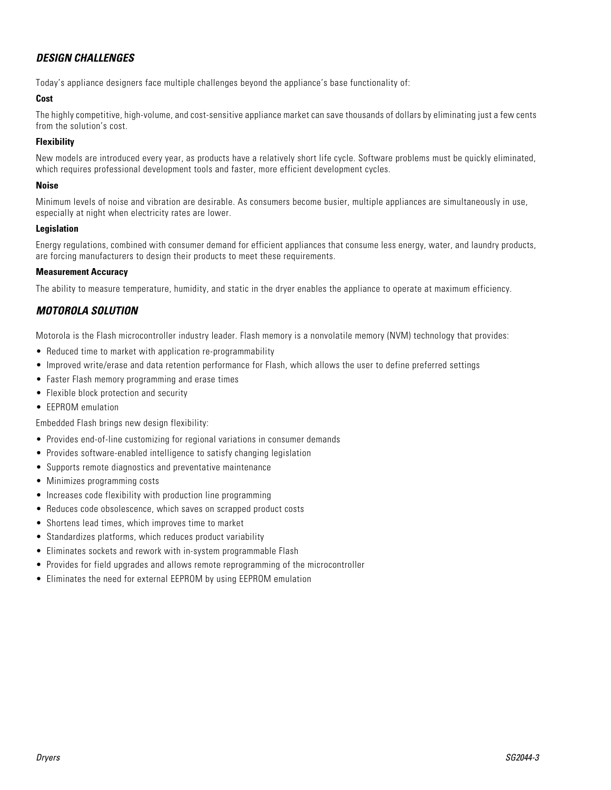## *DESIGN CHALLENGES*

Today's appliance designers face multiple challenges beyond the appliance's base functionality of:

### **Cost**

The highly competitive, high-volume, and cost-sensitive appliance market can save thousands of dollars by eliminating just a few cents from the solution's cost.

#### **Flexibility**

New models are introduced every year, as products have a relatively short life cycle. Software problems must be quickly eliminated, which requires professional development tools and faster, more efficient development cycles.

#### **Noise**

Minimum levels of noise and vibration are desirable. As consumers become busier, multiple appliances are simultaneously in use, especially at night when electricity rates are lower.

#### **Legislation**

Energy regulations, combined with consumer demand for efficient appliances that consume less energy, water, and laundry products, are forcing manufacturers to design their products to meet these requirements.

#### **Measurement Accuracy**

The ability to measure temperature, humidity, and static in the dryer enables the appliance to operate at maximum efficiency.

## *MOTOROLA SOLUTION*

Motorola is the Flash microcontroller industry leader. Flash memory is a nonvolatile memory (NVM) technology that provides:

- Reduced time to market with application re-programmability
- Improved write/erase and data retention performance for Flash, which allows the user to define preferred settings
- Faster Flash memory programming and erase times
- Flexible block protection and security
- EEPROM emulation

Embedded Flash brings new design flexibility:

- Provides end-of-line customizing for regional variations in consumer demands
- Provides software-enabled intelligence to satisfy changing legislation
- Supports remote diagnostics and preventative maintenance
- Minimizes programming costs
- Increases code flexibility with production line programming
- Reduces code obsolescence, which saves on scrapped product costs
- Shortens lead times, which improves time to market
- Standardizes platforms, which reduces product variability
- Eliminates sockets and rework with in-system programmable Flash
- Provides for field upgrades and allows remote reprogramming of the microcontroller
- Eliminates the need for external EEPROM by using EEPROM emulation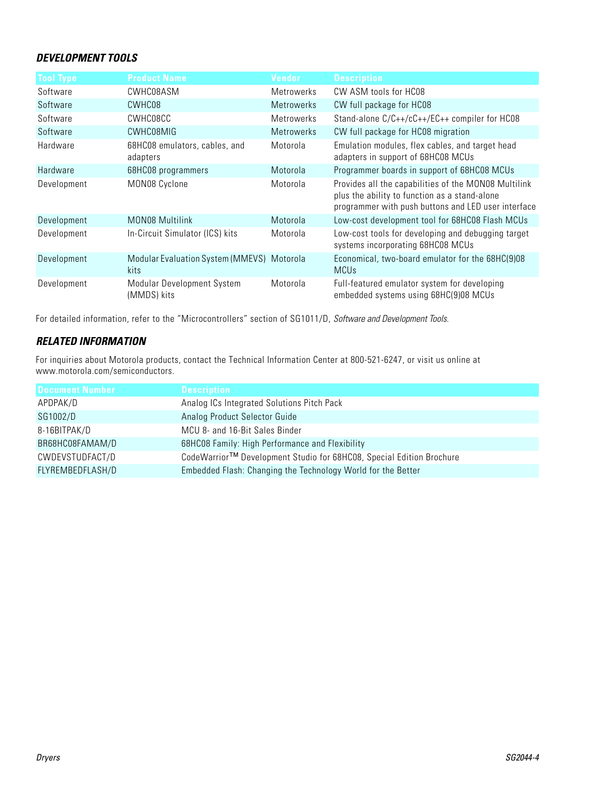## *DEVELOPMENT TOOLS*

| <b>Tool Type</b> | <b>Product Name</b>                                | Vendor            | <b>Description</b>                                                                                                                                           |
|------------------|----------------------------------------------------|-------------------|--------------------------------------------------------------------------------------------------------------------------------------------------------------|
| Software         | CWHC08ASM                                          | <b>Metrowerks</b> | CW ASM tools for HC08                                                                                                                                        |
| Software         | CWHC08                                             | <b>Metrowerks</b> | CW full package for HC08                                                                                                                                     |
| Software         | CWHC08CC                                           | <b>Metrowerks</b> | Stand-alone C/C++/cC++/EC++ compiler for HC08                                                                                                                |
| Software         | CWHC08MIG                                          | <b>Metrowerks</b> | CW full package for HC08 migration                                                                                                                           |
| Hardware         | 68HC08 emulators, cables, and<br>adapters          | Motorola          | Emulation modules, flex cables, and target head<br>adapters in support of 68HC08 MCUs                                                                        |
| Hardware         | 68HC08 programmers                                 | Motorola          | Programmer boards in support of 68HC08 MCUs                                                                                                                  |
| Development      | MON08 Cyclone                                      | Motorola          | Provides all the capabilities of the MON08 Multilink<br>plus the ability to function as a stand-alone<br>programmer with push buttons and LED user interface |
| Development      | <b>MON08 Multilink</b>                             | Motorola          | Low-cost development tool for 68HC08 Flash MCUs                                                                                                              |
| Development      | In-Circuit Simulator (ICS) kits                    | Motorola          | Low-cost tools for developing and debugging target<br>systems incorporating 68HC08 MCUs                                                                      |
| Development      | Modular Evaluation System (MMEVS) Motorola<br>kits |                   | Economical, two-board emulator for the 68HC(9)08<br><b>MCUs</b>                                                                                              |
| Development      | Modular Development System<br>(MMDS) kits          | Motorola          | Full-featured emulator system for developing<br>embedded systems using 68HC(9)08 MCUs                                                                        |

For detailed information, refer to the "Microcontrollers" section of SG1011/D, *Software and Development Tools*.

## *RELATED INFORMATION*

For inquiries about Motorola products, contact the Technical Information Center at 800-521-6247, or visit us online at www.motorola.com/semiconductors.

| Document Number  | <b>Description</b>                                                   |
|------------------|----------------------------------------------------------------------|
| APDPAK/D         | Analog ICs Integrated Solutions Pitch Pack                           |
| SG1002/D         | Analog Product Selector Guide                                        |
| 8-16BITPAK/D     | MCU 8- and 16-Bit Sales Binder                                       |
| BR68HC08FAMAM/D  | 68HC08 Family: High Performance and Flexibility                      |
| CWDEVSTUDFACT/D  | CodeWarrior™ Development Studio for 68HC08, Special Edition Brochure |
| FLYREMBEDFLASH/D | Embedded Flash: Changing the Technology World for the Better         |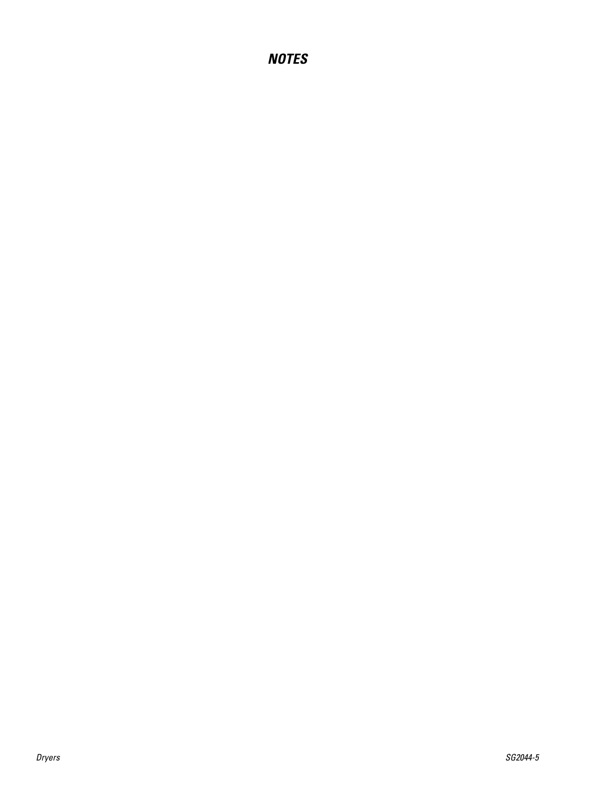# *NOTES*